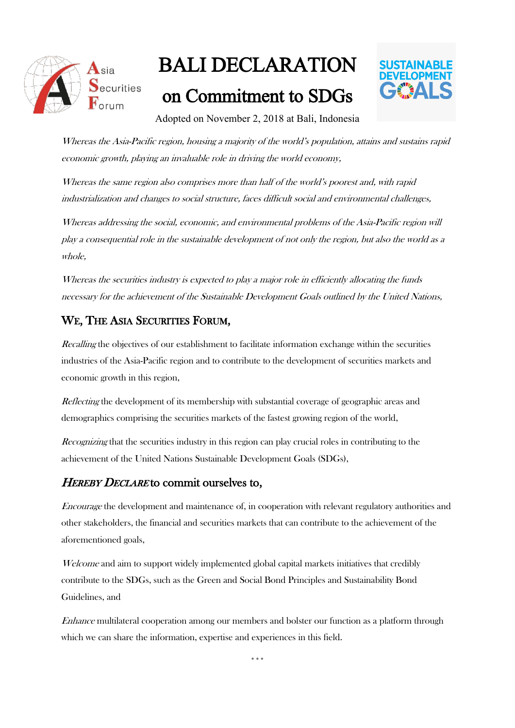

# BALI DECLARATION

## on Commitment to SDGs



Adopted on November 2, 2018 at Bali, Indonesia

Whereas the Asia-Pacific region, housing a majority of the world's population, attains and sustains rapid economic growth, playing an invaluable role in driving the world economy,

Whereas the same region also comprises more than half of the world's poorest and, with rapid industrialization and changes to social structure, faces difficult social and environmental challenges,

Whereas addressing the social, economic, and environmental problems of the Asia-Pacific region will play a consequential role in the sustainable development of not only the region, but also the world as <sup>a</sup> whole,

Whereas the securities industry is expected to play a major role in efficiently allocating the funds necessary for the achievement of the Sustainable Development Goals outlined by the United Nations,

#### WE, THE ASIA SECURITIES FORUM,

Recalling the objectives of our establishment to facilitate information exchange within the securities industries of the Asia-Pacific region and to contribute to the development of securities markets and economic growth in this region,

Reflecting the development of its membership with substantial coverage of geographic areas and demographics comprising the securities markets of the fastest growing region of the world,

Recognizing that the securities industry in this region can play crucial roles in contributing to the achievement of the United Nations Sustainable Development Goals (SDGs),

#### HEREBY DECLARE to commit ourselves to,

Encourage the development and maintenance of, in cooperation with relevant regulatory authorities and other stakeholders, the financial and securities markets that can contribute to the achievement of the aforementioned goals,

Welcome and aim to support widely implemented global capital markets initiatives that credibly contribute to the SDGs, such as the Green and Social Bond Principles and Sustainability Bond Guidelines, and

Enhance multilateral cooperation among our members and bolster our function as a platform through which we can share the information, expertise and experiences in this field.

\*\*\*